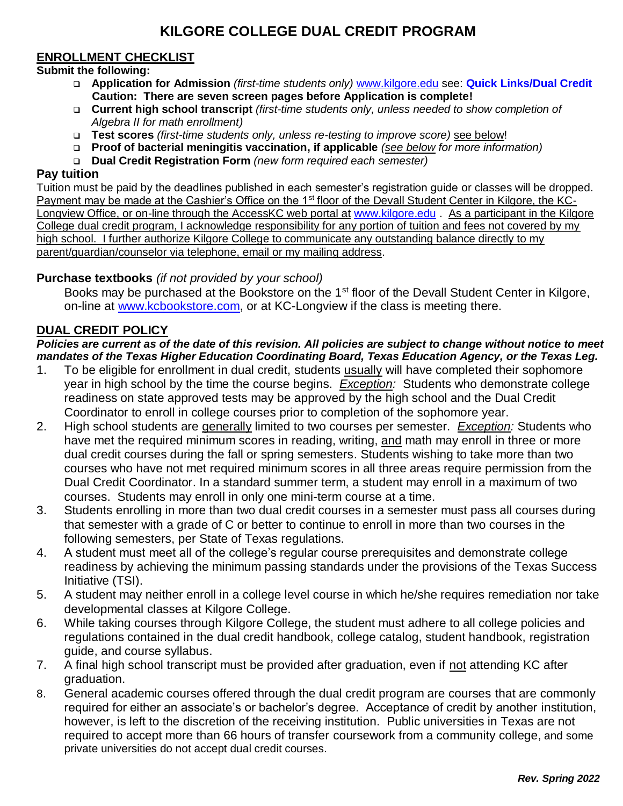# **KILGORE COLLEGE DUAL CREDIT PROGRAM**

## **ENROLLMENT CHECKLIST**

#### • **Submit the following:**

- ❑ **Application for Admission** *(first-time students only)* [www.kilgore.edu](http://www.kilgore.edu/) see: **Quick Links/Dual Credit Caution: There are seven screen pages before Application is complete!**
- ❑ **Current high school transcript** *(first-time students only, unless needed to show completion of Algebra II for math enrollment)*
- ❑ **Test scores** *(first-time students only, unless re-testing to improve score)* see below!
- ❑ **Proof of bacterial meningitis vaccination, if applicable** *(see below for more information)*
- ❑ **Dual Credit Registration Form** *(new form required each semester)*

#### **Pay tuition**

Tuition must be paid by the deadlines published in each semester's registration guide or classes will be dropped. Payment may be made at the Cashier's Office on the 1<sup>st</sup> floor of the Devall Student Center in Kilgore, the KCLongview Office, or on-line through the AccessKC web portal at [www.kilgore.edu](http://www.kilgore.edu/). As a participant in the Kilgore College dual credit program, I acknowledge responsibility for any portion of tuition and fees not covered by my high school. I further authorize Kilgore College to communicate any outstanding balance directly to my parent/guardian/counselor via telephone, email or my mailing address.

#### **Purchase textbooks** *(if not provided by your school)*

Books may be purchased at the Bookstore on the 1<sup>st</sup> floor of the Devall Student Center in Kilgore, on-line at [www.kcbookstore.com,](http://www.kcbookstore.com/) or at KC-Longview if the class is meeting there.

### **DUAL CREDIT POLICY**

*Policies are current as of the date of this revision. All policies are subject to change without notice to meet mandates of the Texas Higher Education Coordinating Board, Texas Education Agency, or the Texas Leg.*

- 1. To be eligible for enrollment in dual credit, students usually will have completed their sophomore year in high school by the time the course begins. *Exception:* Students who demonstrate college readiness on state approved tests may be approved by the high school and the Dual Credit Coordinator to enroll in college courses prior to completion of the sophomore year.
- 2. High school students are generally limited to two courses per semester. *Exception:* Students who have met the required minimum scores in reading, writing, and math may enroll in three or more dual credit courses during the fall or spring semesters. Students wishing to take more than two courses who have not met required minimum scores in all three areas require permission from the Dual Credit Coordinator. In a standard summer term, a student may enroll in a maximum of two courses. Students may enroll in only one mini-term course at a time.
- 3. Students enrolling in more than two dual credit courses in a semester must pass all courses during that semester with a grade of C or better to continue to enroll in more than two courses in the following semesters, per State of Texas regulations.
- 4. A student must meet all of the college's regular course prerequisites and demonstrate college readiness by achieving the minimum passing standards under the provisions of the Texas Success Initiative (TSI).
- 5. A student may neither enroll in a college level course in which he/she requires remediation nor take developmental classes at Kilgore College.
- 6. While taking courses through Kilgore College, the student must adhere to all college policies and regulations contained in the dual credit handbook, college catalog, student handbook, registration guide, and course syllabus.
- 7. A final high school transcript must be provided after graduation, even if not attending KC after graduation.
- 8. General academic courses offered through the dual credit program are courses that are commonly required for either an associate's or bachelor's degree. Acceptance of credit by another institution, however, is left to the discretion of the receiving institution. Public universities in Texas are not required to accept more than 66 hours of transfer coursework from a community college, and some private universities do not accept dual credit courses.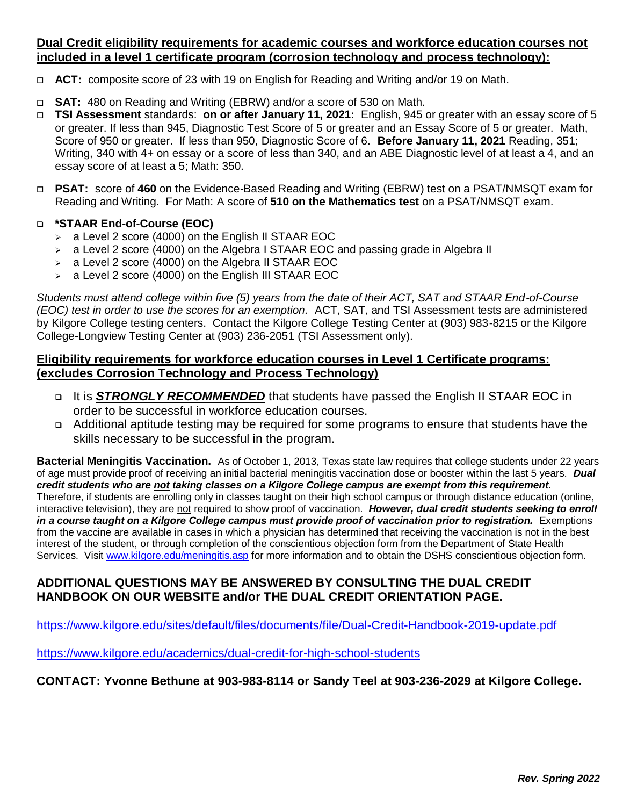## **Dual Credit eligibility requirements for academic courses and workforce education courses not included in a level 1 certificate program (corrosion technology and process technology):**

- **ACT:** composite score of 23 with 19 on English for Reading and Writing and/or 19 on Math.
- **SAT:** 480 on Reading and Writing (EBRW) and/or a score of 530 on Math.
- **TSI Assessment** standards: **on or after January 11, 2021:** English, 945 or greater with an essay score of 5 or greater. If less than 945, Diagnostic Test Score of 5 or greater and an Essay Score of 5 or greater. Math, Score of 950 or greater. If less than 950, Diagnostic Score of 6. **Before January 11, 2021** Reading, 351; Writing, 340 with 4+ on essay or a score of less than 340, and an ABE Diagnostic level of at least a 4, and an essay score of at least a 5; Math: 350.
- **PSAT:** score of **460** on the Evidence-Based Reading and Writing (EBRW) test on a PSAT/NMSQT exam for Reading and Writing. For Math: A score of **510 on the Mathematics test** on a PSAT/NMSQT exam.

#### ❑ **\*STAAR End-of-Course (EOC)**

- ➢ a Level 2 score (4000) on the English II STAAR EOC
- $\ge$  a Level 2 score (4000) on the Algebra I STAAR EOC and passing grade in Algebra II
- $\ge$  a Level 2 score (4000) on the Algebra II STAAR EOC
- ➢ a Level 2 score (4000) on the English III STAAR EOC

*Students must attend college within five (5) years from the date of their ACT, SAT and STAAR End-of-Course (EOC) test in order to use the scores for an exemption.* ACT, SAT, and TSI Assessment tests are administered by Kilgore College testing centers. Contact the Kilgore College Testing Center at (903) 983-8215 or the Kilgore College-Longview Testing Center at (903) 236-2051 (TSI Assessment only).

### **Eligibility requirements for workforce education courses in Level 1 Certificate programs: (excludes Corrosion Technology and Process Technology)**

- ❑ It is *STRONGLY RECOMMENDED* that students have passed the English II STAAR EOC in order to be successful in workforce education courses.
- ❑ Additional aptitude testing may be required for some programs to ensure that students have the skills necessary to be successful in the program.

**Bacterial Meningitis Vaccination.** As of October 1, 2013, Texas state law requires that college students under 22 years of age must provide proof of receiving an initial bacterial meningitis vaccination dose or booster within the last 5 years. *Dual credit students who are not taking classes on a Kilgore College campus are exempt from this requirement.* Therefore, if students are enrolling only in classes taught on their high school campus or through distance education (online, interactive television), they are not required to show proof of vaccination. *However, dual credit students seeking to enroll in a course taught on a Kilgore College campus must provide proof of vaccination prior to registration.* Exemptions from the vaccine are available in cases in which a physician has determined that receiving the vaccination is not in the best interest of the student, or through completion of the conscientious objection form from the Department of State Health Services. Visit [www.kilgore.edu/meningitis.asp](http://www.kilgore.edu/meningitis.asp) for more information and to obtain the DSHS conscientious objection form.

## **ADDITIONAL QUESTIONS MAY BE ANSWERED BY CONSULTING THE DUAL CREDIT HANDBOOK ON OUR WEBSITE and/or THE DUAL CREDIT ORIENTATION PAGE.**

<https://www.kilgore.edu/sites/default/files/documents/file/Dual-Credit-Handbook-2019-update.pdf>

<https://www.kilgore.edu/academics/dual-credit-for-high-school-students>

## **CONTACT: Yvonne Bethune at 903-983-8114 or Sandy Teel at 903-236-2029 at Kilgore College.**